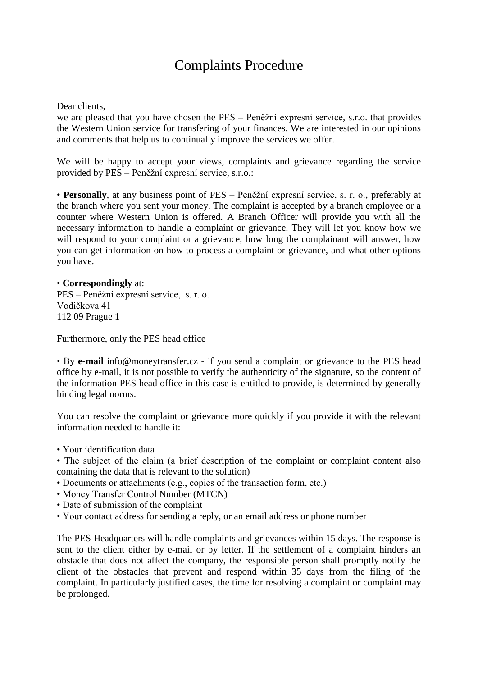## Complaints Procedure

## Dear clients,

we are pleased that you have chosen the PES – Peněžní expresní service, s.r.o. that provides the Western Union service for transfering of your finances. We are interested in our opinions and comments that help us to continually improve the services we offer.

We will be happy to accept your views, complaints and grievance regarding the service provided by PES – Peněžní expresní service, s.r.o.:

• **Personally**, at any business point of PES – Peněžní expresní service, s. r. o., preferably at the branch where you sent your money. The complaint is accepted by a branch employee or a counter where Western Union is offered. A Branch Officer will provide you with all the necessary information to handle a complaint or grievance. They will let you know how we will respond to your complaint or a grievance, how long the complainant will answer, how you can get information on how to process a complaint or grievance, and what other options you have.

## • **Correspondingly** at:

PES – Peněžní expresní service, s. r. o. Vodičkova 41 112 09 Prague 1

Furthermore, only the PES head office

• By **e-mail** info@moneytransfer.cz - if you send a complaint or grievance to the PES head office by e-mail, it is not possible to verify the authenticity of the signature, so the content of the information PES head office in this case is entitled to provide, is determined by generally binding legal norms.

You can resolve the complaint or grievance more quickly if you provide it with the relevant information needed to handle it:

- Your identification data
- The subject of the claim (a brief description of the complaint or complaint content also containing the data that is relevant to the solution)
- Documents or attachments (e.g., copies of the transaction form, etc.)
- Money Transfer Control Number (MTCN)
- Date of submission of the complaint
- Your contact address for sending a reply, or an email address or phone number

The PES Headquarters will handle complaints and grievances within 15 days. The response is sent to the client either by e-mail or by letter. If the settlement of a complaint hinders an obstacle that does not affect the company, the responsible person shall promptly notify the client of the obstacles that prevent and respond within 35 days from the filing of the complaint. In particularly justified cases, the time for resolving a complaint or complaint may be prolonged.